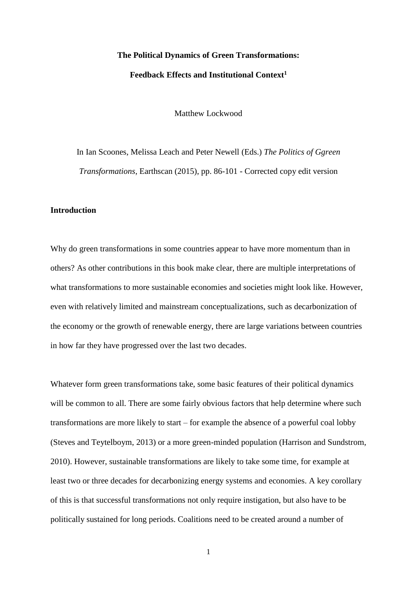# **The Political Dynamics of Green Transformations: Feedback Effects and Institutional Context<sup>1</sup>**

Matthew Lockwood

In Ian Scoones, Melissa Leach and Peter Newell (Eds.) *The Politics of Ggreen Transformations*, Earthscan (2015), pp. 86-101 - Corrected copy edit version

# **Introduction**

Why do green transformations in some countries appear to have more momentum than in others? As other contributions in this book make clear, there are multiple interpretations of what transformations to more sustainable economies and societies might look like. However, even with relatively limited and mainstream conceptualizations, such as decarbonization of the economy or the growth of renewable energy, there are large variations between countries in how far they have progressed over the last two decades.

Whatever form green transformations take, some basic features of their political dynamics will be common to all. There are some fairly obvious factors that help determine where such transformations are more likely to start – for example the absence of a powerful coal lobby (Steves and Teytelboym, 2013) or a more green-minded population (Harrison and Sundstrom, 2010). However, sustainable transformations are likely to take some time, for example at least two or three decades for decarbonizing energy systems and economies. A key corollary of this is that successful transformations not only require instigation, but also have to be politically sustained for long periods. Coalitions need to be created around a number of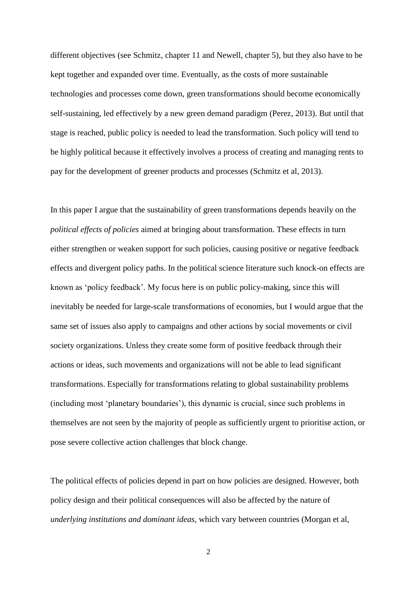different objectives (see Schmitz, chapter 11 and Newell, chapter 5), but they also have to be kept together and expanded over time. Eventually, as the costs of more sustainable technologies and processes come down, green transformations should become economically self-sustaining, led effectively by a new green demand paradigm (Perez, 2013). But until that stage is reached, public policy is needed to lead the transformation. Such policy will tend to be highly political because it effectively involves a process of creating and managing rents to pay for the development of greener products and processes (Schmitz et al, 2013).

In this paper I argue that the sustainability of green transformations depends heavily on the *political effects of policies* aimed at bringing about transformation. These effects in turn either strengthen or weaken support for such policies, causing positive or negative feedback effects and divergent policy paths. In the political science literature such knock-on effects are known as 'policy feedback'. My focus here is on public policy-making, since this will inevitably be needed for large-scale transformations of economies, but I would argue that the same set of issues also apply to campaigns and other actions by social movements or civil society organizations. Unless they create some form of positive feedback through their actions or ideas, such movements and organizations will not be able to lead significant transformations. Especially for transformations relating to global sustainability problems (including most 'planetary boundaries'), this dynamic is crucial, since such problems in themselves are not seen by the majority of people as sufficiently urgent to prioritise action, or pose severe collective action challenges that block change.

The political effects of policies depend in part on how policies are designed. However, both policy design and their political consequences will also be affected by the nature of *underlying institutions and dominant ideas*, which vary between countries (Morgan et al,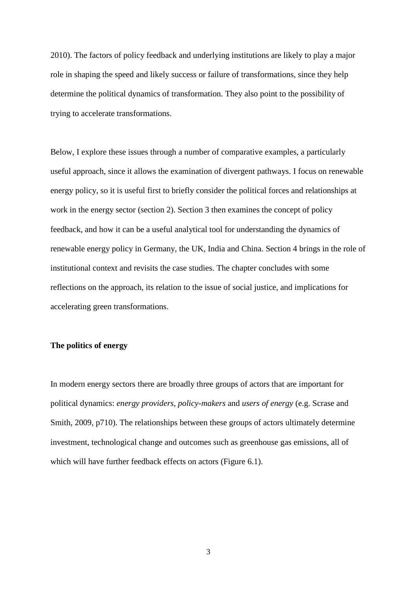2010). The factors of policy feedback and underlying institutions are likely to play a major role in shaping the speed and likely success or failure of transformations, since they help determine the political dynamics of transformation. They also point to the possibility of trying to accelerate transformations.

Below, I explore these issues through a number of comparative examples, a particularly useful approach, since it allows the examination of divergent pathways. I focus on renewable energy policy, so it is useful first to briefly consider the political forces and relationships at work in the energy sector (section 2). Section 3 then examines the concept of policy feedback, and how it can be a useful analytical tool for understanding the dynamics of renewable energy policy in Germany, the UK, India and China. Section 4 brings in the role of institutional context and revisits the case studies. The chapter concludes with some reflections on the approach, its relation to the issue of social justice, and implications for accelerating green transformations.

# **The politics of energy**

In modern energy sectors there are broadly three groups of actors that are important for political dynamics: *energy providers*, *policy-makers* and *users of energy* (e.g. Scrase and Smith, 2009, p710). The relationships between these groups of actors ultimately determine investment, technological change and outcomes such as greenhouse gas emissions, all of which will have further feedback effects on actors (Figure 6.1).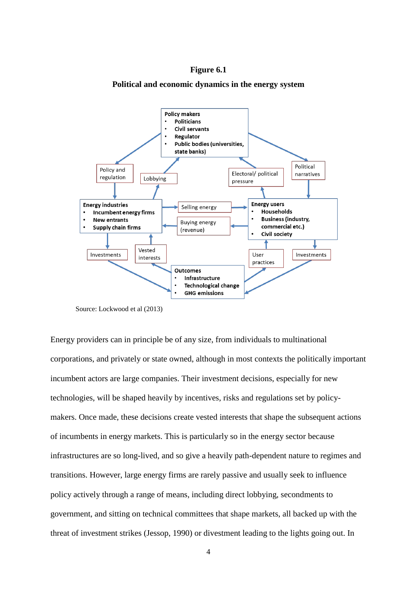## **Figure 6.1**

**Political and economic dynamics in the energy system**



Source: Lockwood et al (2013)

Energy providers can in principle be of any size, from individuals to multinational corporations, and privately or state owned, although in most contexts the politically important incumbent actors are large companies. Their investment decisions, especially for new technologies, will be shaped heavily by incentives, risks and regulations set by policymakers. Once made, these decisions create vested interests that shape the subsequent actions of incumbents in energy markets. This is particularly so in the energy sector because infrastructures are so long-lived, and so give a heavily path-dependent nature to regimes and transitions. However, large energy firms are rarely passive and usually seek to influence policy actively through a range of means, including direct lobbying, secondments to government, and sitting on technical committees that shape markets, all backed up with the threat of investment strikes (Jessop, 1990) or divestment leading to the lights going out. In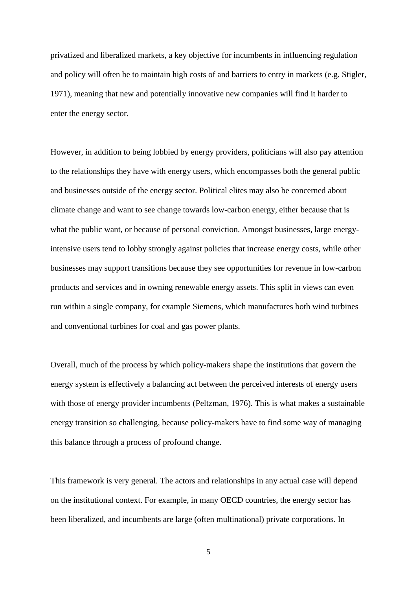privatized and liberalized markets, a key objective for incumbents in influencing regulation and policy will often be to maintain high costs of and barriers to entry in markets (e.g. Stigler, 1971), meaning that new and potentially innovative new companies will find it harder to enter the energy sector.

However, in addition to being lobbied by energy providers, politicians will also pay attention to the relationships they have with energy users, which encompasses both the general public and businesses outside of the energy sector. Political elites may also be concerned about climate change and want to see change towards low-carbon energy, either because that is what the public want, or because of personal conviction. Amongst businesses, large energyintensive users tend to lobby strongly against policies that increase energy costs, while other businesses may support transitions because they see opportunities for revenue in low-carbon products and services and in owning renewable energy assets. This split in views can even run within a single company, for example Siemens, which manufactures both wind turbines and conventional turbines for coal and gas power plants.

Overall, much of the process by which policy-makers shape the institutions that govern the energy system is effectively a balancing act between the perceived interests of energy users with those of energy provider incumbents (Peltzman, 1976). This is what makes a sustainable energy transition so challenging, because policy-makers have to find some way of managing this balance through a process of profound change.

This framework is very general. The actors and relationships in any actual case will depend on the institutional context. For example, in many OECD countries, the energy sector has been liberalized, and incumbents are large (often multinational) private corporations. In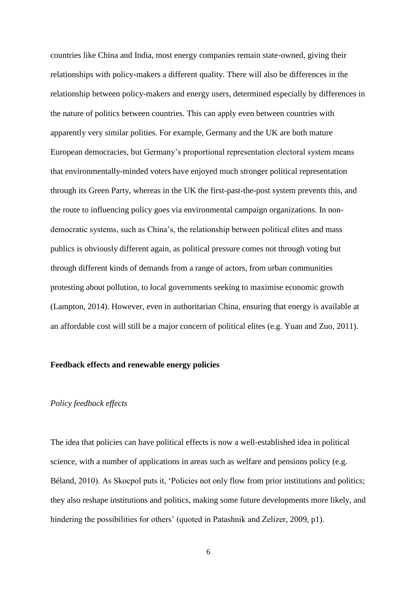countries like China and India, most energy companies remain state-owned, giving their relationships with policy-makers a different quality. There will also be differences in the relationship between policy-makers and energy users, determined especially by differences in the nature of politics between countries. This can apply even between countries with apparently very similar polities. For example, Germany and the UK are both mature European democracies, but Germany's proportional representation electoral system means that environmentally-minded voters have enjoyed much stronger political representation through its Green Party, whereas in the UK the first-past-the-post system prevents this, and the route to influencing policy goes via environmental campaign organizations. In nondemocratic systems, such as China's, the relationship between political elites and mass publics is obviously different again, as political pressure comes not through voting but through different kinds of demands from a range of actors, from urban communities protesting about pollution, to local governments seeking to maximise economic growth (Lampton, 2014). However, even in authoritarian China, ensuring that energy is available at an affordable cost will still be a major concern of political elites (e.g. Yuan and Zuo, 2011).

# **Feedback effects and renewable energy policies**

# *Policy feedback effects*

The idea that policies can have political effects is now a well-established idea in political science, with a number of applications in areas such as welfare and pensions policy (e.g. Béland, 2010). As Skocpol puts it, 'Policies not only flow from prior institutions and politics; they also reshape institutions and politics, making some future developments more likely, and hindering the possibilities for others' (quoted in Patashnik and Zelizer, 2009, p1).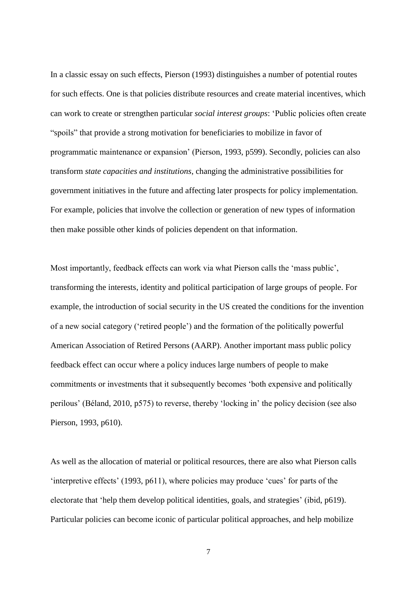In a classic essay on such effects, Pierson (1993) distinguishes a number of potential routes for such effects. One is that policies distribute resources and create material incentives, which can work to create or strengthen particular *social interest groups*: 'Public policies often create "spoils" that provide a strong motivation for beneficiaries to mobilize in favor of programmatic maintenance or expansion' (Pierson, 1993, p599). Secondly, policies can also transform *state capacities and institutions*, changing the administrative possibilities for government initiatives in the future and affecting later prospects for policy implementation. For example, policies that involve the collection or generation of new types of information then make possible other kinds of policies dependent on that information.

Most importantly, feedback effects can work via what Pierson calls the 'mass public', transforming the interests, identity and political participation of large groups of people. For example, the introduction of social security in the US created the conditions for the invention of a new social category ('retired people') and the formation of the politically powerful American Association of Retired Persons (AARP). Another important mass public policy feedback effect can occur where a policy induces large numbers of people to make commitments or investments that it subsequently becomes 'both expensive and politically perilous' (Béland, 2010, p575) to reverse, thereby 'locking in' the policy decision (see also Pierson, 1993, p610).

As well as the allocation of material or political resources, there are also what Pierson calls 'interpretive effects' (1993, p611), where policies may produce 'cues' for parts of the electorate that 'help them develop political identities, goals, and strategies' (ibid, p619). Particular policies can become iconic of particular political approaches, and help mobilize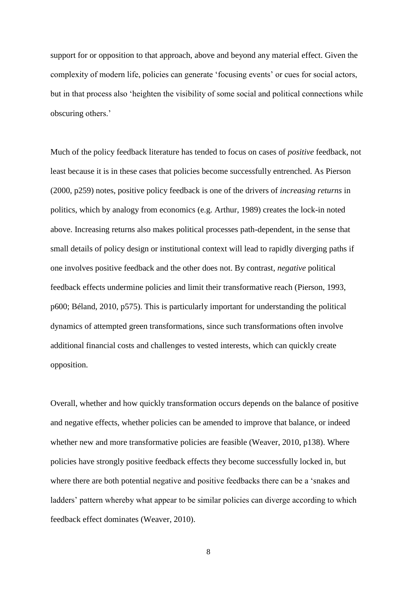support for or opposition to that approach, above and beyond any material effect. Given the complexity of modern life, policies can generate 'focusing events' or cues for social actors, but in that process also 'heighten the visibility of some social and political connections while obscuring others.'

Much of the policy feedback literature has tended to focus on cases of *positive* feedback, not least because it is in these cases that policies become successfully entrenched. As Pierson (2000, p259) notes, positive policy feedback is one of the drivers of *increasing returns* in politics, which by analogy from economics (e.g. Arthur, 1989) creates the lock-in noted above. Increasing returns also makes political processes path-dependent, in the sense that small details of policy design or institutional context will lead to rapidly diverging paths if one involves positive feedback and the other does not. By contrast, *negative* political feedback effects undermine policies and limit their transformative reach (Pierson, 1993, p600; Béland, 2010, p575). This is particularly important for understanding the political dynamics of attempted green transformations, since such transformations often involve additional financial costs and challenges to vested interests, which can quickly create opposition.

Overall, whether and how quickly transformation occurs depends on the balance of positive and negative effects, whether policies can be amended to improve that balance, or indeed whether new and more transformative policies are feasible (Weaver, 2010, p138). Where policies have strongly positive feedback effects they become successfully locked in, but where there are both potential negative and positive feedbacks there can be a 'snakes and ladders' pattern whereby what appear to be similar policies can diverge according to which feedback effect dominates (Weaver, 2010).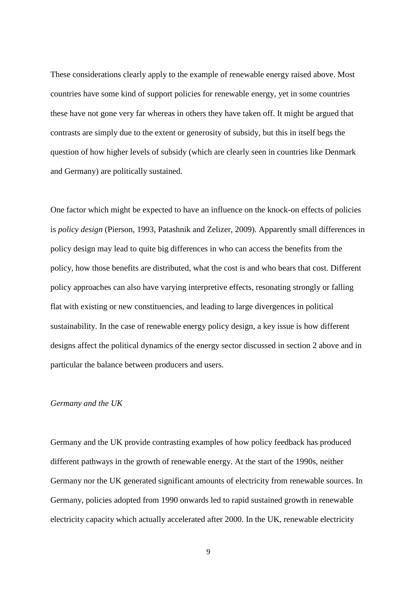These considerations clearly apply to the example of renewable energy raised above. Most countries have some kind of support policies for renewable energy, yet in some countries these have not gone very far whereas in others they have taken off. It might be argued that contrasts are simply due to the extent or generosity of subsidy, but this in itself begs the question of how higher levels of subsidy (which are clearly seen in countries like Denmark and Germany) are politically sustained.

One factor which might be expected to have an influence on the knock-on effects of policies is *policy design* (Pierson, 1993, Patashnik and Zelizer, 2009). Apparently small differences in policy design may lead to quite big differences in who can access the benefits from the policy, how those benefits are distributed, what the cost is and who bears that cost. Different policy approaches can also have varying interpretive effects, resonating strongly or falling flat with existing or new constituencies, and leading to large divergences in political sustainability. In the case of renewable energy policy design, a key issue is how different designs affect the political dynamics of the energy sector discussed in section 2 above and in particular the balance between producers and users.

# *Germany and the UK*

Germany and the UK provide contrasting examples of how policy feedback has produced different pathways in the growth of renewable energy. At the start of the 1990s, neither Germany nor the UK generated significant amounts of electricity from renewable sources. In Germany, policies adopted from 1990 onwards led to rapid sustained growth in renewable electricity capacity which actually accelerated after 2000. In the UK, renewable electricity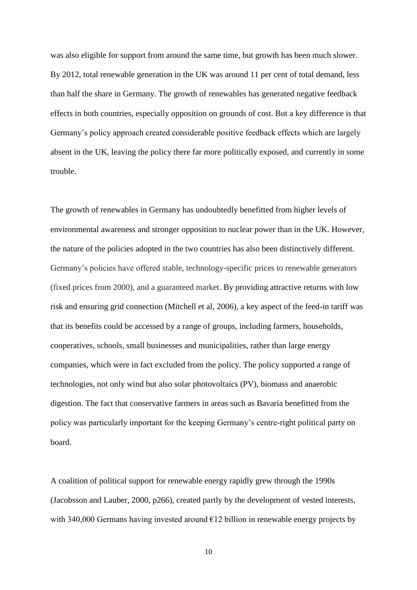was also eligible for support from around the same time, but growth has been much slower. By 2012, total renewable generation in the UK was around 11 per cent of total demand, less than half the share in Germany. The growth of renewables has generated negative feedback effects in both countries, especially opposition on grounds of cost. But a key difference is that Germany's policy approach created considerable positive feedback effects which are largely absent in the UK, leaving the policy there far more politically exposed, and currently in some trouble.

The growth of renewables in Germany has undoubtedly benefitted from higher levels of environmental awareness and stronger opposition to nuclear power than in the UK. However, the nature of the policies adopted in the two countries has also been distinctively different. Germany's policies have offered stable, technology-specific prices to renewable generators (fixed prices from 2000), and a guaranteed market. By providing attractive returns with low risk and ensuring grid connection (Mitchell et al, 2006), a key aspect of the feed-in tariff was that its benefits could be accessed by a range of groups, including farmers, households, cooperatives, schools, small businesses and municipalities, rather than large energy companies, which were in fact excluded from the policy. The policy supported a range of technologies, not only wind but also solar photovoltaics (PV), biomass and anaerobic digestion. The fact that conservative farmers in areas such as Bavaria benefitted from the policy was particularly important for the keeping Germany's centre-right political party on board.

A coalition of political support for renewable energy rapidly grew through the 1990s (Jacobsson and Lauber, 2000, p266), created partly by the development of vested interests, with 340,000 Germans having invested around €12 billion in renewable energy projects by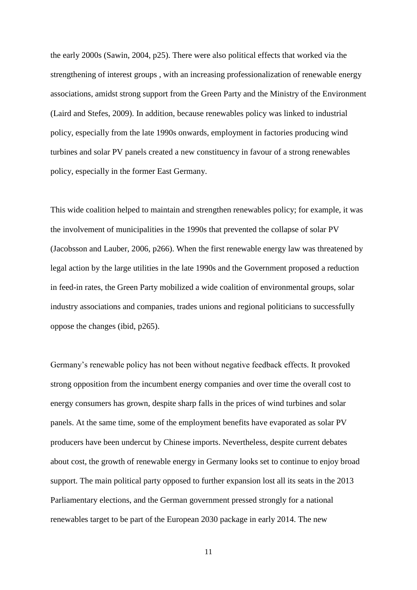the early 2000s (Sawin, 2004, p25). There were also political effects that worked via the strengthening of interest groups , with an increasing professionalization of renewable energy associations, amidst strong support from the Green Party and the Ministry of the Environment (Laird and Stefes, 2009). In addition, because renewables policy was linked to industrial policy, especially from the late 1990s onwards, employment in factories producing wind turbines and solar PV panels created a new constituency in favour of a strong renewables policy, especially in the former East Germany.

This wide coalition helped to maintain and strengthen renewables policy; for example, it was the involvement of municipalities in the 1990s that prevented the collapse of solar PV (Jacobsson and Lauber, 2006, p266). When the first renewable energy law was threatened by legal action by the large utilities in the late 1990s and the Government proposed a reduction in feed-in rates, the Green Party mobilized a wide coalition of environmental groups, solar industry associations and companies, trades unions and regional politicians to successfully oppose the changes (ibid, p265).

Germany's renewable policy has not been without negative feedback effects. It provoked strong opposition from the incumbent energy companies and over time the overall cost to energy consumers has grown, despite sharp falls in the prices of wind turbines and solar panels. At the same time, some of the employment benefits have evaporated as solar PV producers have been undercut by Chinese imports. Nevertheless, despite current debates about cost, the growth of renewable energy in Germany looks set to continue to enjoy broad support. The main political party opposed to further expansion lost all its seats in the 2013 Parliamentary elections, and the German government pressed strongly for a national renewables target to be part of the European 2030 package in early 2014. The new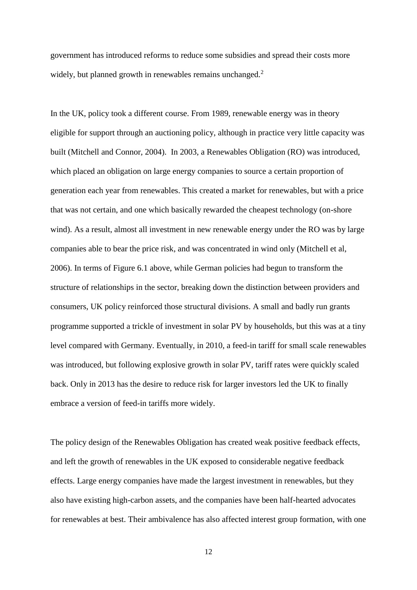government has introduced reforms to reduce some subsidies and spread their costs more widely, but planned growth in renewables remains unchanged.<sup>2</sup>

In the UK, policy took a different course. From 1989, renewable energy was in theory eligible for support through an auctioning policy, although in practice very little capacity was built (Mitchell and Connor, 2004). In 2003, a Renewables Obligation (RO) was introduced, which placed an obligation on large energy companies to source a certain proportion of generation each year from renewables. This created a market for renewables, but with a price that was not certain, and one which basically rewarded the cheapest technology (on-shore wind). As a result, almost all investment in new renewable energy under the RO was by large companies able to bear the price risk, and was concentrated in wind only (Mitchell et al, 2006). In terms of Figure 6.1 above, while German policies had begun to transform the structure of relationships in the sector, breaking down the distinction between providers and consumers, UK policy reinforced those structural divisions. A small and badly run grants programme supported a trickle of investment in solar PV by households, but this was at a tiny level compared with Germany. Eventually, in 2010, a feed-in tariff for small scale renewables was introduced, but following explosive growth in solar PV, tariff rates were quickly scaled back. Only in 2013 has the desire to reduce risk for larger investors led the UK to finally embrace a version of feed-in tariffs more widely.

The policy design of the Renewables Obligation has created weak positive feedback effects, and left the growth of renewables in the UK exposed to considerable negative feedback effects. Large energy companies have made the largest investment in renewables, but they also have existing high-carbon assets, and the companies have been half-hearted advocates for renewables at best. Their ambivalence has also affected interest group formation, with one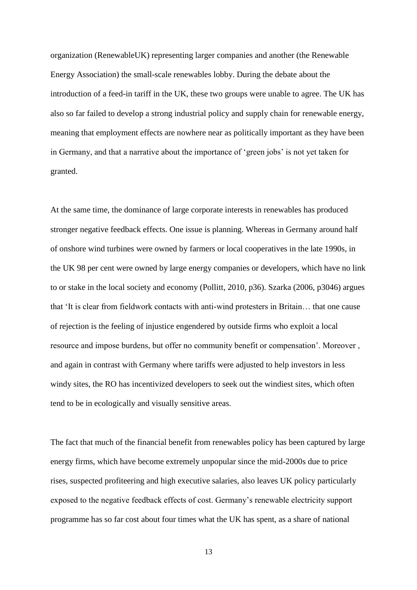organization (RenewableUK) representing larger companies and another (the Renewable Energy Association) the small-scale renewables lobby. During the debate about the introduction of a feed-in tariff in the UK, these two groups were unable to agree. The UK has also so far failed to develop a strong industrial policy and supply chain for renewable energy, meaning that employment effects are nowhere near as politically important as they have been in Germany, and that a narrative about the importance of 'green jobs' is not yet taken for granted.

At the same time, the dominance of large corporate interests in renewables has produced stronger negative feedback effects. One issue is planning. Whereas in Germany around half of onshore wind turbines were owned by farmers or local cooperatives in the late 1990s, in the UK 98 per cent were owned by large energy companies or developers, which have no link to or stake in the local society and economy (Pollitt, 2010, p36). Szarka (2006, p3046) argues that 'It is clear from fieldwork contacts with anti-wind protesters in Britain… that one cause of rejection is the feeling of injustice engendered by outside firms who exploit a local resource and impose burdens, but offer no community benefit or compensation'. Moreover , and again in contrast with Germany where tariffs were adjusted to help investors in less windy sites, the RO has incentivized developers to seek out the windiest sites, which often tend to be in ecologically and visually sensitive areas.

The fact that much of the financial benefit from renewables policy has been captured by large energy firms, which have become extremely unpopular since the mid-2000s due to price rises, suspected profiteering and high executive salaries, also leaves UK policy particularly exposed to the negative feedback effects of cost. Germany's renewable electricity support programme has so far cost about four times what the UK has spent, as a share of national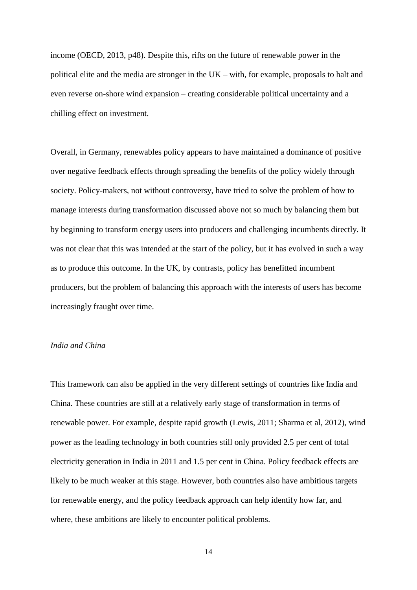income (OECD, 2013, p48). Despite this, rifts on the future of renewable power in the political elite and the media are stronger in the UK – with, for example, proposals to halt and even reverse on-shore wind expansion – creating considerable political uncertainty and a chilling effect on investment.

Overall, in Germany, renewables policy appears to have maintained a dominance of positive over negative feedback effects through spreading the benefits of the policy widely through society. Policy-makers, not without controversy, have tried to solve the problem of how to manage interests during transformation discussed above not so much by balancing them but by beginning to transform energy users into producers and challenging incumbents directly. It was not clear that this was intended at the start of the policy, but it has evolved in such a way as to produce this outcome. In the UK, by contrasts, policy has benefitted incumbent producers, but the problem of balancing this approach with the interests of users has become increasingly fraught over time.

## *India and China*

This framework can also be applied in the very different settings of countries like India and China. These countries are still at a relatively early stage of transformation in terms of renewable power. For example, despite rapid growth (Lewis, 2011; Sharma et al, 2012), wind power as the leading technology in both countries still only provided 2.5 per cent of total electricity generation in India in 2011 and 1.5 per cent in China. Policy feedback effects are likely to be much weaker at this stage. However, both countries also have ambitious targets for renewable energy, and the policy feedback approach can help identify how far, and where, these ambitions are likely to encounter political problems.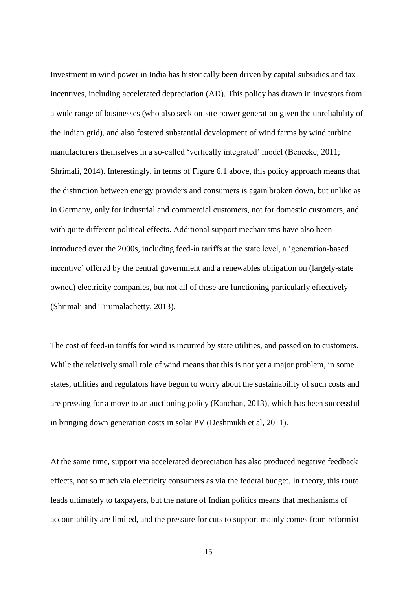Investment in wind power in India has historically been driven by capital subsidies and tax incentives, including accelerated depreciation (AD). This policy has drawn in investors from a wide range of businesses (who also seek on-site power generation given the unreliability of the Indian grid), and also fostered substantial development of wind farms by wind turbine manufacturers themselves in a so-called 'vertically integrated' model (Benecke, 2011; Shrimali, 2014). Interestingly, in terms of Figure 6.1 above, this policy approach means that the distinction between energy providers and consumers is again broken down, but unlike as in Germany, only for industrial and commercial customers, not for domestic customers, and with quite different political effects. Additional support mechanisms have also been introduced over the 2000s, including feed-in tariffs at the state level, a 'generation-based incentive' offered by the central government and a renewables obligation on (largely-state owned) electricity companies, but not all of these are functioning particularly effectively (Shrimali and Tirumalachetty, 2013).

The cost of feed-in tariffs for wind is incurred by state utilities, and passed on to customers. While the relatively small role of wind means that this is not yet a major problem, in some states, utilities and regulators have begun to worry about the sustainability of such costs and are pressing for a move to an auctioning policy (Kanchan, 2013), which has been successful in bringing down generation costs in solar PV (Deshmukh et al, 2011).

At the same time, support via accelerated depreciation has also produced negative feedback effects, not so much via electricity consumers as via the federal budget. In theory, this route leads ultimately to taxpayers, but the nature of Indian politics means that mechanisms of accountability are limited, and the pressure for cuts to support mainly comes from reformist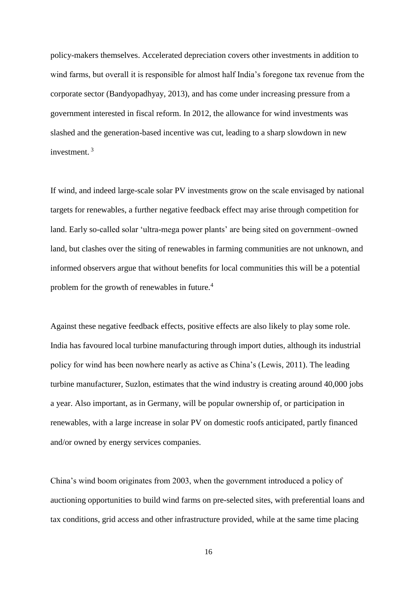policy-makers themselves. Accelerated depreciation covers other investments in addition to wind farms, but overall it is responsible for almost half India's foregone tax revenue from the corporate sector (Bandyopadhyay, 2013), and has come under increasing pressure from a government interested in fiscal reform. In 2012, the allowance for wind investments was slashed and the generation-based incentive was cut, leading to a sharp slowdown in new investment. <sup>3</sup>

If wind, and indeed large-scale solar PV investments grow on the scale envisaged by national targets for renewables, a further negative feedback effect may arise through competition for land. Early so-called solar 'ultra-mega power plants' are being sited on government–owned land, but clashes over the siting of renewables in farming communities are not unknown, and informed observers argue that without benefits for local communities this will be a potential problem for the growth of renewables in future.<sup>4</sup>

Against these negative feedback effects, positive effects are also likely to play some role. India has favoured local turbine manufacturing through import duties, although its industrial policy for wind has been nowhere nearly as active as China's (Lewis, 2011). The leading turbine manufacturer, Suzlon, estimates that the wind industry is creating around 40,000 jobs a year. Also important, as in Germany, will be popular ownership of, or participation in renewables, with a large increase in solar PV on domestic roofs anticipated, partly financed and/or owned by energy services companies.

China's wind boom originates from 2003, when the government introduced a policy of auctioning opportunities to build wind farms on pre-selected sites, with preferential loans and tax conditions, grid access and other infrastructure provided, while at the same time placing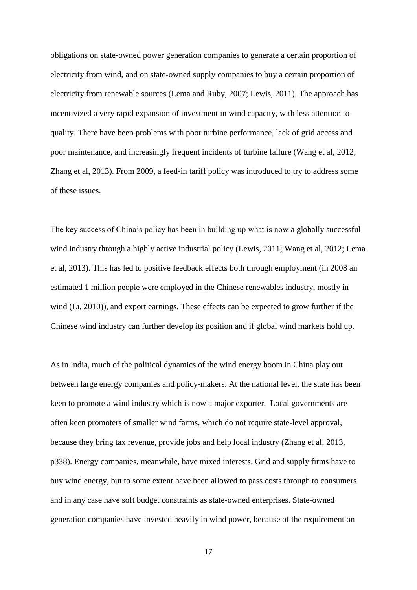obligations on state-owned power generation companies to generate a certain proportion of electricity from wind, and on state-owned supply companies to buy a certain proportion of electricity from renewable sources (Lema and Ruby, 2007; Lewis, 2011). The approach has incentivized a very rapid expansion of investment in wind capacity, with less attention to quality. There have been problems with poor turbine performance, lack of grid access and poor maintenance, and increasingly frequent incidents of turbine failure (Wang et al, 2012; Zhang et al, 2013). From 2009, a feed-in tariff policy was introduced to try to address some of these issues.

The key success of China's policy has been in building up what is now a globally successful wind industry through a highly active industrial policy (Lewis, 2011; Wang et al, 2012; Lema et al, 2013). This has led to positive feedback effects both through employment (in 2008 an estimated 1 million people were employed in the Chinese renewables industry, mostly in wind (Li, 2010)), and export earnings. These effects can be expected to grow further if the Chinese wind industry can further develop its position and if global wind markets hold up.

As in India, much of the political dynamics of the wind energy boom in China play out between large energy companies and policy-makers. At the national level, the state has been keen to promote a wind industry which is now a major exporter. Local governments are often keen promoters of smaller wind farms, which do not require state-level approval, because they bring tax revenue, provide jobs and help local industry (Zhang et al, 2013, p338). Energy companies, meanwhile, have mixed interests. Grid and supply firms have to buy wind energy, but to some extent have been allowed to pass costs through to consumers and in any case have soft budget constraints as state-owned enterprises. State-owned generation companies have invested heavily in wind power, because of the requirement on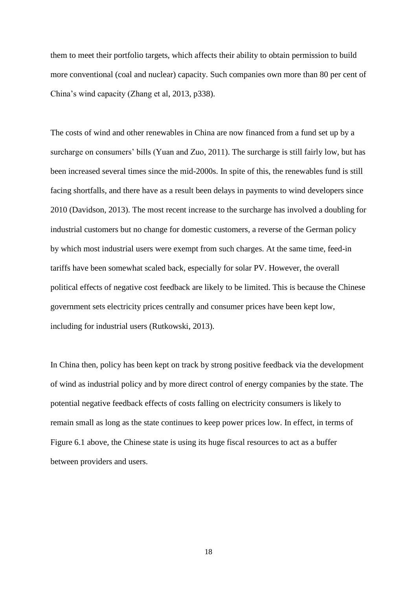them to meet their portfolio targets, which affects their ability to obtain permission to build more conventional (coal and nuclear) capacity. Such companies own more than 80 per cent of China's wind capacity (Zhang et al, 2013, p338).

The costs of wind and other renewables in China are now financed from a fund set up by a surcharge on consumers' bills (Yuan and Zuo, 2011). The surcharge is still fairly low, but has been increased several times since the mid-2000s. In spite of this, the renewables fund is still facing shortfalls, and there have as a result been delays in payments to wind developers since 2010 (Davidson, 2013). The most recent increase to the surcharge has involved a doubling for industrial customers but no change for domestic customers, a reverse of the German policy by which most industrial users were exempt from such charges. At the same time, feed-in tariffs have been somewhat scaled back, especially for solar PV. However, the overall political effects of negative cost feedback are likely to be limited. This is because the Chinese government sets electricity prices centrally and consumer prices have been kept low, including for industrial users (Rutkowski, 2013).

In China then, policy has been kept on track by strong positive feedback via the development of wind as industrial policy and by more direct control of energy companies by the state. The potential negative feedback effects of costs falling on electricity consumers is likely to remain small as long as the state continues to keep power prices low. In effect, in terms of Figure 6.1 above, the Chinese state is using its huge fiscal resources to act as a buffer between providers and users.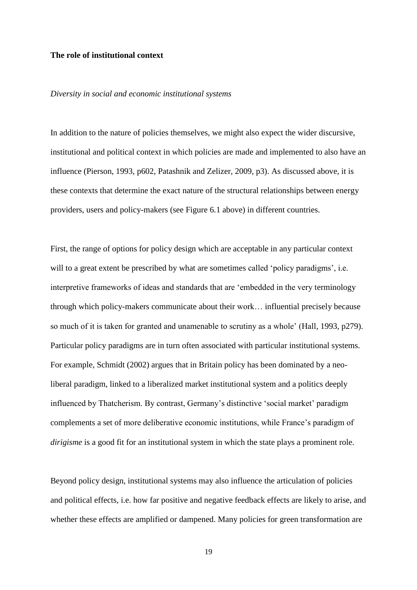#### **The role of institutional context**

#### *Diversity in social and economic institutional systems*

In addition to the nature of policies themselves, we might also expect the wider discursive, institutional and political context in which policies are made and implemented to also have an influence (Pierson, 1993, p602, Patashnik and Zelizer, 2009, p3). As discussed above, it is these contexts that determine the exact nature of the structural relationships between energy providers, users and policy-makers (see Figure 6.1 above) in different countries.

First, the range of options for policy design which are acceptable in any particular context will to a great extent be prescribed by what are sometimes called 'policy paradigms', i.e. interpretive frameworks of ideas and standards that are 'embedded in the very terminology through which policy-makers communicate about their work… influential precisely because so much of it is taken for granted and unamenable to scrutiny as a whole' (Hall, 1993, p279). Particular policy paradigms are in turn often associated with particular institutional systems. For example, Schmidt (2002) argues that in Britain policy has been dominated by a neoliberal paradigm, linked to a liberalized market institutional system and a politics deeply influenced by Thatcherism. By contrast, Germany's distinctive 'social market' paradigm complements a set of more deliberative economic institutions, while France's paradigm of *dirigisme* is a good fit for an institutional system in which the state plays a prominent role.

Beyond policy design, institutional systems may also influence the articulation of policies and political effects, i.e. how far positive and negative feedback effects are likely to arise, and whether these effects are amplified or dampened. Many policies for green transformation are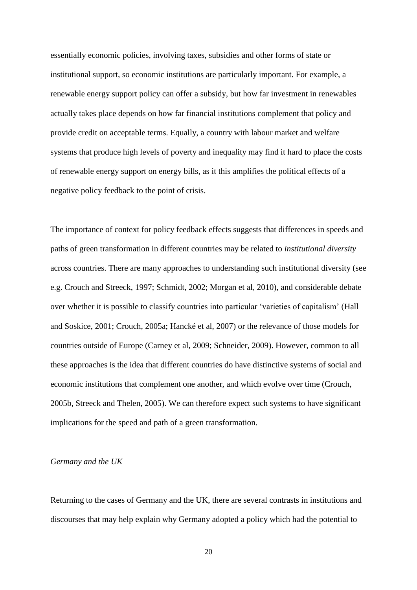essentially economic policies, involving taxes, subsidies and other forms of state or institutional support, so economic institutions are particularly important. For example, a renewable energy support policy can offer a subsidy, but how far investment in renewables actually takes place depends on how far financial institutions complement that policy and provide credit on acceptable terms. Equally, a country with labour market and welfare systems that produce high levels of poverty and inequality may find it hard to place the costs of renewable energy support on energy bills, as it this amplifies the political effects of a negative policy feedback to the point of crisis.

The importance of context for policy feedback effects suggests that differences in speeds and paths of green transformation in different countries may be related to *institutional diversity* across countries. There are many approaches to understanding such institutional diversity (see e.g. Crouch and Streeck, 1997; Schmidt, 2002; Morgan et al, 2010), and considerable debate over whether it is possible to classify countries into particular 'varieties of capitalism' (Hall and Soskice, 2001; Crouch, 2005a; Hancké et al, 2007) or the relevance of those models for countries outside of Europe (Carney et al, 2009; Schneider, 2009). However, common to all these approaches is the idea that different countries do have distinctive systems of social and economic institutions that complement one another, and which evolve over time (Crouch, 2005b, Streeck and Thelen, 2005). We can therefore expect such systems to have significant implications for the speed and path of a green transformation.

## *Germany and the UK*

Returning to the cases of Germany and the UK, there are several contrasts in institutions and discourses that may help explain why Germany adopted a policy which had the potential to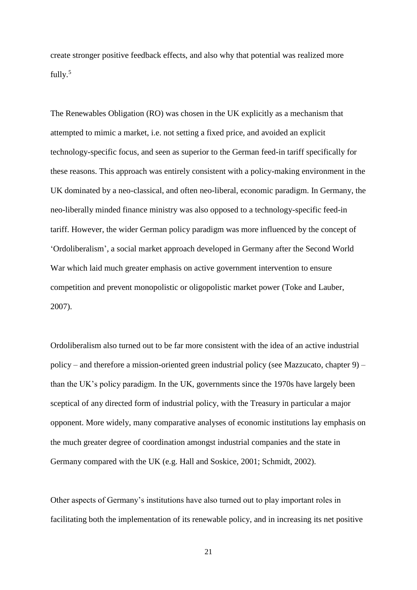create stronger positive feedback effects, and also why that potential was realized more fully.<sup>5</sup>

The Renewables Obligation (RO) was chosen in the UK explicitly as a mechanism that attempted to mimic a market, i.e. not setting a fixed price, and avoided an explicit technology-specific focus, and seen as superior to the German feed-in tariff specifically for these reasons. This approach was entirely consistent with a policy-making environment in the UK dominated by a neo-classical, and often neo-liberal, economic paradigm. In Germany, the neo-liberally minded finance ministry was also opposed to a technology-specific feed-in tariff. However, the wider German policy paradigm was more influenced by the concept of 'Ordoliberalism', a social market approach developed in Germany after the Second World War which laid much greater emphasis on active government intervention to ensure competition and prevent monopolistic or oligopolistic market power (Toke and Lauber, 2007).

Ordoliberalism also turned out to be far more consistent with the idea of an active industrial policy – and therefore a mission-oriented green industrial policy (see Mazzucato, chapter 9) – than the UK's policy paradigm. In the UK, governments since the 1970s have largely been sceptical of any directed form of industrial policy, with the Treasury in particular a major opponent. More widely, many comparative analyses of economic institutions lay emphasis on the much greater degree of coordination amongst industrial companies and the state in Germany compared with the UK (e.g. Hall and Soskice, 2001; Schmidt, 2002).

Other aspects of Germany's institutions have also turned out to play important roles in facilitating both the implementation of its renewable policy, and in increasing its net positive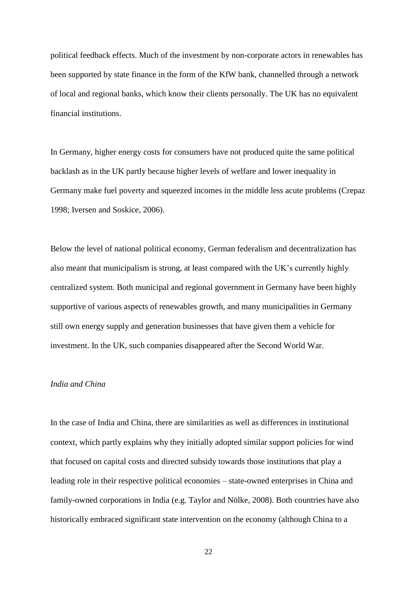political feedback effects. Much of the investment by non-corporate actors in renewables has been supported by state finance in the form of the KfW bank, channelled through a network of local and regional banks, which know their clients personally. The UK has no equivalent financial institutions.

In Germany, higher energy costs for consumers have not produced quite the same political backlash as in the UK partly because higher levels of welfare and lower inequality in Germany make fuel poverty and squeezed incomes in the middle less acute problems (Crepaz 1998; Iversen and Soskice, 2006).

Below the level of national political economy, German federalism and decentralization has also meant that municipalism is strong, at least compared with the UK's currently highly centralized system. Both municipal and regional government in Germany have been highly supportive of various aspects of renewables growth, and many municipalities in Germany still own energy supply and generation businesses that have given them a vehicle for investment. In the UK, such companies disappeared after the Second World War.

# *India and China*

In the case of India and China, there are similarities as well as differences in institutional context, which partly explains why they initially adopted similar support policies for wind that focused on capital costs and directed subsidy towards those institutions that play a leading role in their respective political economies – state-owned enterprises in China and family-owned corporations in India (e.g. Taylor and Nölke, 2008). Both countries have also historically embraced significant state intervention on the economy (although China to a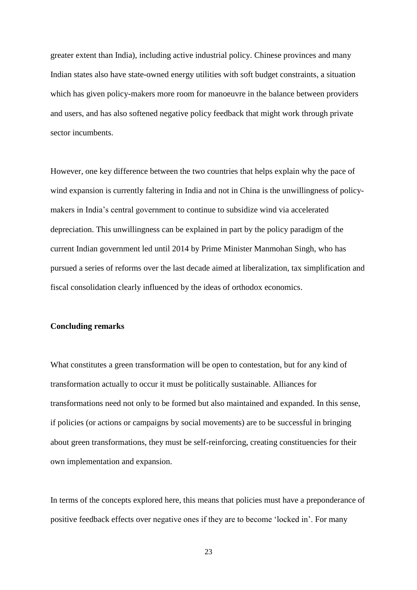greater extent than India), including active industrial policy. Chinese provinces and many Indian states also have state-owned energy utilities with soft budget constraints, a situation which has given policy-makers more room for manoeuvre in the balance between providers and users, and has also softened negative policy feedback that might work through private sector incumbents.

However, one key difference between the two countries that helps explain why the pace of wind expansion is currently faltering in India and not in China is the unwillingness of policymakers in India's central government to continue to subsidize wind via accelerated depreciation. This unwillingness can be explained in part by the policy paradigm of the current Indian government led until 2014 by Prime Minister Manmohan Singh, who has pursued a series of reforms over the last decade aimed at liberalization, tax simplification and fiscal consolidation clearly influenced by the ideas of orthodox economics.

#### **Concluding remarks**

What constitutes a green transformation will be open to contestation, but for any kind of transformation actually to occur it must be politically sustainable. Alliances for transformations need not only to be formed but also maintained and expanded. In this sense, if policies (or actions or campaigns by social movements) are to be successful in bringing about green transformations, they must be self-reinforcing, creating constituencies for their own implementation and expansion.

In terms of the concepts explored here, this means that policies must have a preponderance of positive feedback effects over negative ones if they are to become 'locked in'. For many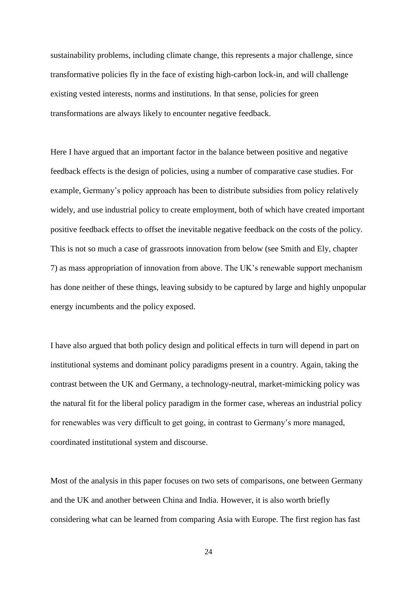sustainability problems, including climate change, this represents a major challenge, since transformative policies fly in the face of existing high-carbon lock-in, and will challenge existing vested interests, norms and institutions. In that sense, policies for green transformations are always likely to encounter negative feedback.

Here I have argued that an important factor in the balance between positive and negative feedback effects is the design of policies, using a number of comparative case studies. For example, Germany's policy approach has been to distribute subsidies from policy relatively widely, and use industrial policy to create employment, both of which have created important positive feedback effects to offset the inevitable negative feedback on the costs of the policy. This is not so much a case of grassroots innovation from below (see Smith and Ely, chapter 7) as mass appropriation of innovation from above. The UK's renewable support mechanism has done neither of these things, leaving subsidy to be captured by large and highly unpopular energy incumbents and the policy exposed.

I have also argued that both policy design and political effects in turn will depend in part on institutional systems and dominant policy paradigms present in a country. Again, taking the contrast between the UK and Germany, a technology-neutral, market-mimicking policy was the natural fit for the liberal policy paradigm in the former case, whereas an industrial policy for renewables was very difficult to get going, in contrast to Germany's more managed, coordinated institutional system and discourse.

Most of the analysis in this paper focuses on two sets of comparisons, one between Germany and the UK and another between China and India. However, it is also worth briefly considering what can be learned from comparing Asia with Europe. The first region has fast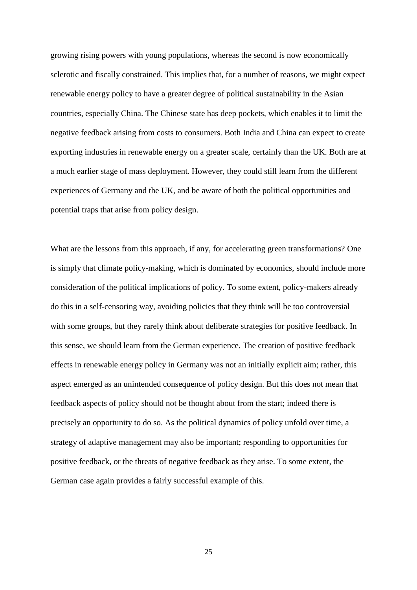growing rising powers with young populations, whereas the second is now economically sclerotic and fiscally constrained. This implies that, for a number of reasons, we might expect renewable energy policy to have a greater degree of political sustainability in the Asian countries, especially China. The Chinese state has deep pockets, which enables it to limit the negative feedback arising from costs to consumers. Both India and China can expect to create exporting industries in renewable energy on a greater scale, certainly than the UK. Both are at a much earlier stage of mass deployment. However, they could still learn from the different experiences of Germany and the UK, and be aware of both the political opportunities and potential traps that arise from policy design.

What are the lessons from this approach, if any, for accelerating green transformations? One is simply that climate policy-making, which is dominated by economics, should include more consideration of the political implications of policy. To some extent, policy-makers already do this in a self-censoring way, avoiding policies that they think will be too controversial with some groups, but they rarely think about deliberate strategies for positive feedback. In this sense, we should learn from the German experience. The creation of positive feedback effects in renewable energy policy in Germany was not an initially explicit aim; rather, this aspect emerged as an unintended consequence of policy design. But this does not mean that feedback aspects of policy should not be thought about from the start; indeed there is precisely an opportunity to do so. As the political dynamics of policy unfold over time, a strategy of adaptive management may also be important; responding to opportunities for positive feedback, or the threats of negative feedback as they arise. To some extent, the German case again provides a fairly successful example of this.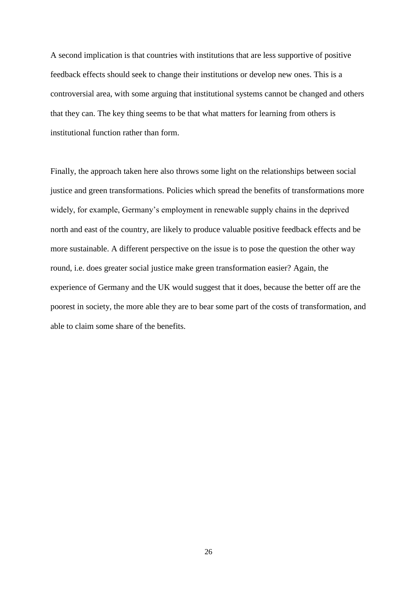A second implication is that countries with institutions that are less supportive of positive feedback effects should seek to change their institutions or develop new ones. This is a controversial area, with some arguing that institutional systems cannot be changed and others that they can. The key thing seems to be that what matters for learning from others is institutional function rather than form.

Finally, the approach taken here also throws some light on the relationships between social justice and green transformations. Policies which spread the benefits of transformations more widely, for example, Germany's employment in renewable supply chains in the deprived north and east of the country, are likely to produce valuable positive feedback effects and be more sustainable. A different perspective on the issue is to pose the question the other way round, i.e. does greater social justice make green transformation easier? Again, the experience of Germany and the UK would suggest that it does, because the better off are the poorest in society, the more able they are to bear some part of the costs of transformation, and able to claim some share of the benefits.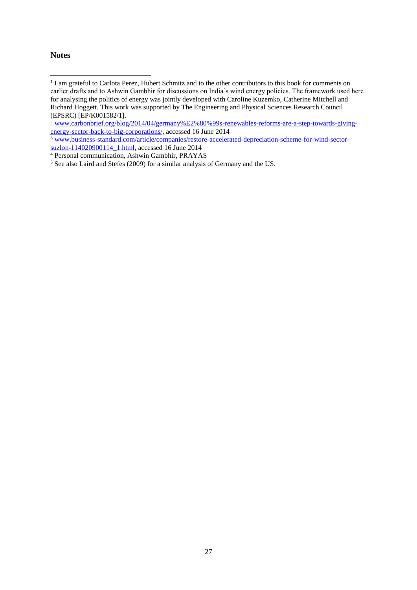# **Notes**

**.** 

<sup>2</sup> [www.carbonbrief.org/blog/2014/04/germany%E2%80%99s-renewables-reforms-are-a-step-towards-giving](http://www.carbonbrief.org/blog/2014/04/germany%E2%80%99s-renewables-reforms-are-a-step-towards-giving-energy-sector-back-to-big-corporations/)[energy-sector-back-to-big-corporations/,](http://www.carbonbrief.org/blog/2014/04/germany%E2%80%99s-renewables-reforms-are-a-step-towards-giving-energy-sector-back-to-big-corporations/) accessed 16 June 2014

<sup>3</sup> [www.business-standard.com/article/companies/restore-accelerated-depreciation-scheme-for-wind-sector](http://www.business-standard.com/article/companies/restore-accelerated-depreciation-scheme-for-wind-sector-suzlon-114020900114_1.html)suzlon-114020900114 1.html, accessed 16 June 2014

<sup>&</sup>lt;sup>1</sup> I am grateful to Carlota Perez, Hubert Schmitz and to the other contributors to this book for comments on earlier drafts and to Ashwin Gambhir for discussions on India's wind energy policies. The framework used here for analysing the politics of energy was jointly developed with Caroline Kuzemko, Catherine Mitchell and Richard Hoggett. This work was supported by The Engineering and Physical Sciences Research Council (EPSRC) [EP/K001582/1].

<sup>4</sup> Personal communication, Ashwin Gambhir, PRAYAS

<sup>5</sup> See also Laird and Stefes (2009) for a similar analysis of Germany and the US.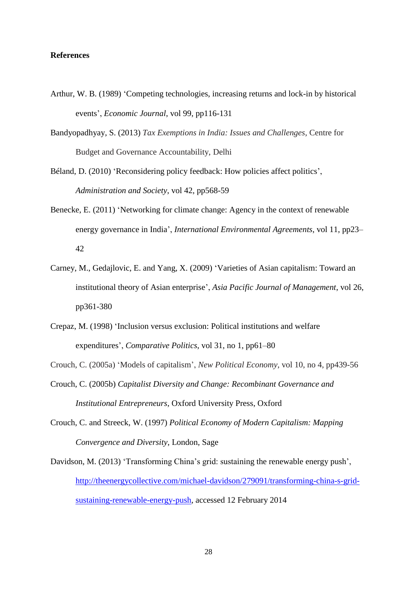# **References**

Arthur, W. B. (1989) 'Competing technologies, increasing returns and lock-in by historical events', *Economic Journal*, vol 99, pp116-131

Bandyopadhyay, S. (2013) *Tax Exemptions in India: Issues and Challenges*, Centre for Budget and Governance Accountability, Delhi

- Béland, D. (2010) 'Reconsidering policy feedback: How policies affect politics', *Administration and Society*, vol 42, pp568-59
- Benecke, E. (2011) 'Networking for climate change: Agency in the context of renewable energy governance in India', *International Environmental Agreements*, vol 11, pp23– 42
- Carney, M., Gedajlovic, E. and Yang, X. (2009) 'Varieties of Asian capitalism: Toward an institutional theory of Asian enterprise', *[Asia Pacific Journal of Management](http://link.springer.com/journal/10490)*, vol 26, pp361-380
- Crepaz, M. (1998) 'Inclusion versus exclusion: Political institutions and welfare expenditures', *Comparative Politics*, vol 31, no 1, pp61–80
- Crouch, C. (2005a) 'Models of capitalism', *New Political Economy*, vol 10, no 4, pp439-56
- Crouch, C. (2005b) *Capitalist Diversity and Change: Recombinant Governance and Institutional Entrepreneurs*, Oxford University Press, Oxford
- Crouch, C. and Streeck, W. (1997) *Political Economy of Modern Capitalism: Mapping Convergence and Diversity*, London, Sage

Davidson, M. (2013) 'Transforming China's grid: sustaining the renewable energy push', [http://theenergycollective.com/michael-davidson/279091/transforming-china-s-grid](http://theenergycollective.com/michael-davidson/279091/transforming-china-s-grid-sustaining-renewable-energy-push)[sustaining-renewable-energy-push,](http://theenergycollective.com/michael-davidson/279091/transforming-china-s-grid-sustaining-renewable-energy-push) accessed 12 February 2014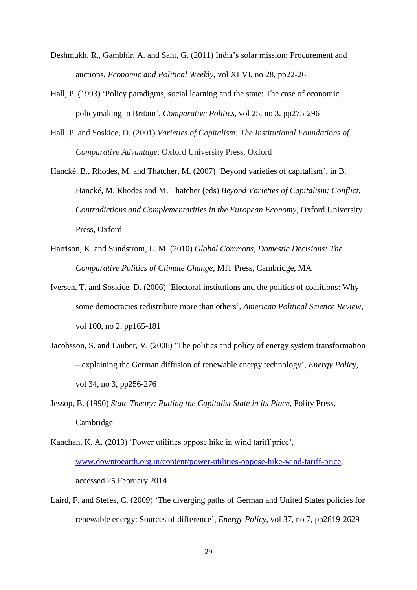- Deshmukh, R., Gambhir, A. and Sant, G. (2011) India's solar mission: Procurement and auctions, *Economic and Political Weekly*, vol XLVI, no 28, pp22-26
- Hall, P. (1993) 'Policy paradigms, social learning and the state: The case of economic policymaking in Britain', *Comparative Politics*, vol 25, no 3, pp275-296
- Hall, P. and Soskice, D. (2001) *Varieties of Capitalism: The Institutional Foundations of Comparative Advantage*, Oxford University Press, Oxford
- Hancké, B., Rhodes, M. and Thatcher, M. (2007) 'Beyond varieties of capitalism', in B. Hancké, M. Rhodes and M. Thatcher (eds) *Beyond Varieties of Capitalism: Conflict, Contradictions and Complementarities in the European Economy*, Oxford University Press, Oxford
- Harrison, K. and Sundstrom, L. M. (2010) *Global Commons, Domestic Decisions: The Comparative Politics of Climate Change*, MIT Press, Cambridge, MA
- Iversen, T. and Soskice, D. (2006) 'Electoral institutions and the politics of coalitions: Why some democracies redistribute more than others', *American Political Science Review*, vol 100, no 2, pp165-181
- Jacobsson, S. and Lauber, V. (2006) 'The politics and policy of energy system transformation – explaining the German diffusion of renewable energy technology', *Energy Policy*, vol 34, no 3, pp256-276
- Jessop, B. (1990) *State Theory: Putting the Capitalist State in its Place*, Polity Press, Cambridge
- Kanchan, K. A. (2013) 'Power utilities oppose hike in wind tariff price', [www.downtoearth.org.in/content/power-utilities-oppose-hike-wind-tariff-price,](http://www.downtoearth.org.in/content/power-utilities-oppose-hike-wind-tariff-price) accessed 25 February 2014
- Laird, F. and Stefes, C. (2009) 'The diverging paths of German and United States policies for renewable energy: Sources of difference', *Energy Policy*, vol 37, no 7, pp2619-2629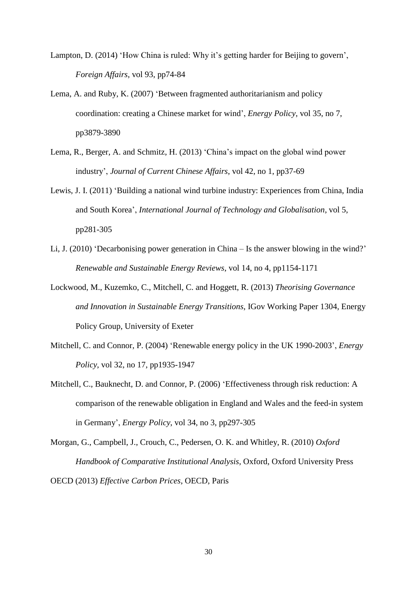- Lampton, D. (2014) 'How China is ruled: Why it's getting harder for Beijing to govern', *Foreign Affairs*, vol 93, pp74-84
- Lema, A. and Ruby, K. (2007) 'Between fragmented authoritarianism and policy coordination: creating a Chinese market for wind', *Energy Policy*, vol 35, no 7, pp3879-3890
- Lema, R., Berger, A. and Schmitz, H. (2013) 'China's impact on the global wind power industry', *Journal of Current Chinese Affairs*, vol 42, no 1, pp37-69
- Lewis, J. I. (2011) 'Building a national wind turbine industry: Experiences from China, India and South Korea', *International Journal of Technology and Globalisation*, vol 5, pp281-305
- Li, J. (2010) 'Decarbonising power generation in China Is the answer blowing in the wind?' *Renewable and Sustainable Energy Reviews*, vol 14, no 4, pp1154-1171
- Lockwood, M., Kuzemko, C., Mitchell, C. and Hoggett, R. (2013) *Theorising Governance and Innovation in Sustainable Energy Transitions*, IGov Working Paper 1304, Energy Policy Group, University of Exeter
- Mitchell, C. and Connor, P. (2004) 'Renewable energy policy in the UK 1990-2003', *Energy Policy*, vol 32, no 17, pp1935-1947
- Mitchell, C., Bauknecht, D. and Connor, P. (2006) 'Effectiveness through risk reduction: A comparison of the renewable obligation in England and Wales and the feed-in system in Germany', *Energy Policy*, vol 34, no 3, pp297-305
- Morgan, G., Campbell, J., Crouch, C., Pedersen, O. K. and Whitley, R. (2010) *Oxford Handbook of Comparative Institutional Analysis*, Oxford, Oxford University Press OECD (2013) *Effective Carbon Prices*, OECD, Paris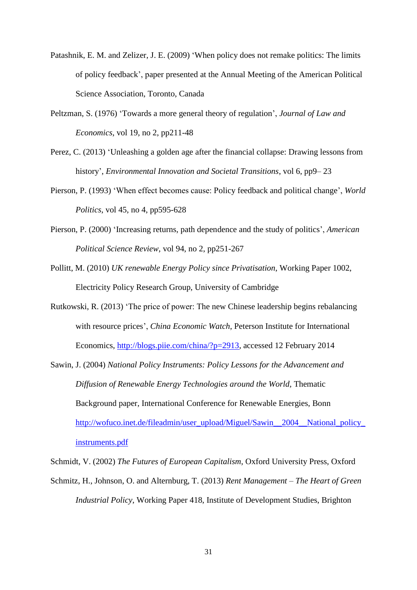- Patashnik, E. M. and Zelizer, J. E. (2009) 'When policy does not remake politics: The limits of policy feedback', paper presented at the Annual Meeting of the American Political Science Association, Toronto, Canada
- Peltzman, S. (1976) 'Towards a more general theory of regulation', *Journal of Law and Economics*, vol 19, no 2, pp211-48
- Perez, C. (2013) 'Unleashing a golden age after the financial collapse: Drawing lessons from history', *Environmental Innovation and Societal Transitions*, vol 6, pp9– 23
- Pierson, P. (1993) 'When effect becomes cause: Policy feedback and political change', *World Politics*, vol 45, no 4, pp595-628
- Pierson, P. (2000) 'Increasing returns, path dependence and the study of politics', *American Political Science Review*, vol 94, no 2, pp251-267
- Pollitt, M. (2010) *UK renewable Energy Policy since Privatisation*, Working Paper 1002, Electricity Policy Research Group, University of Cambridge
- Rutkowski, R. (2013) 'The price of power: The new Chinese leadership begins rebalancing with resource prices', *China Economic Watch*, Peterson Institute for International Economics, [http://blogs.piie.com/china/?p=2913,](http://blogs.piie.com/china/?p=2913) accessed 12 February 2014
- Sawin, J. (2004) *National Policy Instruments: Policy Lessons for the Advancement and Diffusion of Renewable Energy Technologies around the World,* Thematic Background paper, International Conference for Renewable Energies, Bonn [http://wofuco.inet.de/fileadmin/user\\_upload/Miguel/Sawin\\_\\_2004\\_\\_National\\_policy\\_](http://wofuco.inet.de/fileadmin/user_upload/Miguel/Sawin__2004__National_policy_instruments.pdf) [instruments.pdf](http://wofuco.inet.de/fileadmin/user_upload/Miguel/Sawin__2004__National_policy_instruments.pdf)
- Schmidt, V. (2002) *The Futures of European Capitalism*, Oxford University Press, Oxford
- Schmitz, H., Johnson, O. and Alternburg, T. (2013) *Rent Management – The Heart of Green Industrial Policy*, Working Paper 418, Institute of Development Studies, Brighton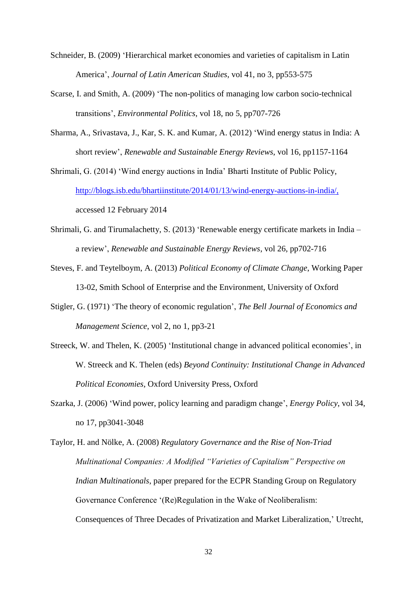- Schneider, B. (2009) 'Hierarchical market economies and varieties of capitalism in Latin America', *Journal of Latin American Studies*, vol 41, no 3, pp553-575
- Scarse, I. and Smith, A. (2009) 'The non-politics of managing low carbon socio-technical transitions', *Environmental Politics*, vol 18, no 5, pp707-726
- Sharma, A., Srivastava, J., Kar, S. K. and Kumar, A. (2012) 'Wind energy status in India: A short review', *Renewable and Sustainable Energy Reviews*, vol 16, pp1157-1164
- Shrimali, G. (2014) 'Wind energy auctions in India' Bharti Institute of Public Policy, [http://blogs.isb.edu/bhartiinstitute/2014/01/13/wind-energy-auctions-in-india/,](http://blogs.isb.edu/bhartiinstitute/2014/01/13/wind-energy-auctions-in-india/) accessed 12 February 2014
- Shrimali, G. and Tirumalachetty, S. (2013) 'Renewable energy certificate markets in India a review', *Renewable and Sustainable Energy Reviews*, vol 26, pp702-716
- Steves, F. and Teytelboym, A. (2013) *Political Economy of Climate Change*, Working Paper 13-02, Smith School of Enterprise and the Environment, University of Oxford
- Stigler, G. (1971) 'The theory of economic regulation', *The Bell Journal of Economics and Management Science*, vol 2, no 1, pp3-21
- Streeck, W. and Thelen, K. (2005) 'Institutional change in advanced political economies', in W. Streeck and K. Thelen (eds) *Beyond Continuity: Institutional Change in Advanced Political Economies*, Oxford University Press, Oxford
- Szarka, J. (2006) 'Wind power, policy learning and paradigm change', *Energy Policy*, vol 34, no 17, pp3041-3048
- Taylor, H. and Nölke, A. (2008) *Regulatory Governance and the Rise of Non-Triad Multinational Companies: A Modified "Varieties of Capitalism" Perspective on Indian Multinationals*, paper prepared for the ECPR Standing Group on Regulatory Governance Conference '(Re)Regulation in the Wake of Neoliberalism: Consequences of Three Decades of Privatization and Market Liberalization,' Utrecht,